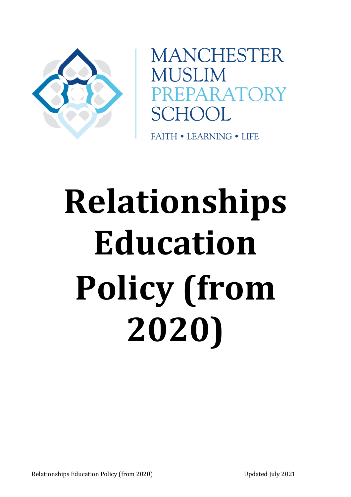

**MANCHESTER** MUSLIM PARATORY **SCHOOL** 

**FAITH • LEARNING • LIFE** 

# **Relationships Education Policy (from 2020)**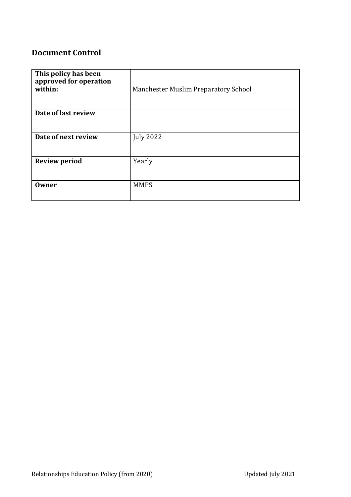# **Document Control**

| This policy has been<br>approved for operation<br>within: | Manchester Muslim Preparatory School |
|-----------------------------------------------------------|--------------------------------------|
| Date of last review                                       |                                      |
| Date of next review                                       | <b>July 2022</b>                     |
| <b>Review period</b>                                      | Yearly                               |
| <b>Owner</b>                                              | <b>MMPS</b>                          |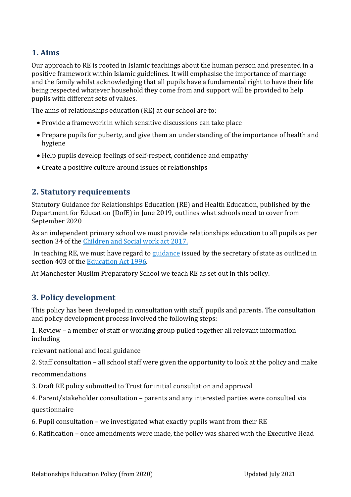# **1. Aims**

Our approach to RE is rooted in Islamic teachings about the human person and presented in a positive framework within Islamic guidelines. It will emphasise the importance of marriage and the family whilst acknowledging that all pupils have a fundamental right to have their life being respected whatever household they come from and support will be provided to help pupils with different sets of values.

The aims of relationships education (RE) at our school are to:

- Provide a framework in which sensitive discussions can take place
- Prepare pupils for puberty, and give them an understanding of the importance of health and hygiene
- Help pupils develop feelings of self-respect, confidence and empathy
- Create a positive culture around issues of relationships

## **2. Statutory requirements**

Statutory Guidance for Relationships Education (RE) and Health Education, published by the Department for Education (DofE) in June 2019, outlines what schools need to cover from September 2020

As an independent primary school we must provide relationships education to all pupils as per section 34 of the [Children and Social work act 2017.](http://www.legislation.gov.uk/ukpga/2017/16/section/34/enacted) 

In teaching RE, we must have regard t[o guidance](https://www.gov.uk/government/consultations/relationships-and-sex-education-and-health-education) issued by the secretary of state as outlined in section 403 of the [Education Act 1996.](http://www.legislation.gov.uk/ukpga/1996/56/contents) 

At Manchester Muslim Preparatory School we teach RE as set out in this policy.

# **3. Policy development**

This policy has been developed in consultation with staff, pupils and parents. The consultation and policy development process involved the following steps:

1. Review – a member of staff or working group pulled together all relevant information including

relevant national and local guidance

2. Staff consultation – all school staff were given the opportunity to look at the policy and make

recommendations

3. Draft RE policy submitted to Trust for initial consultation and approval

4. Parent/stakeholder consultation – parents and any interested parties were consulted via questionnaire

6. Pupil consultation – we investigated what exactly pupils want from their RE

6. Ratification – once amendments were made, the policy was shared with the Executive Head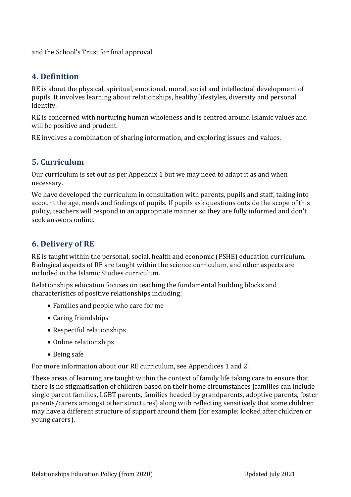and the School's Trust for final approval

## **4. Definition**

RE is about the physical, spiritual, emotional. moral, social and intellectual development of pupils. It involves learning about relationships, healthy lifestyles, diversity and personal identity.

RE is concerned with nurturing human wholeness and is centred around Islamic values and will be positive and prudent.

RE involves a combination of sharing information, and exploring issues and values.

# **5. Curriculum**

Our curriculum is set out as per Appendix 1 but we may need to adapt it as and when necessary.

We have developed the curriculum in consultation with parents, pupils and staff, taking into account the age, needs and feelings of pupils. If pupils ask questions outside the scope of this policy, teachers will respond in an appropriate manner so they are fully informed and don't seek answers online.

# **6. Delivery of RE**

RE is taught within the personal, social, health and economic (PSHE) education curriculum. Biological aspects of RE are taught within the science curriculum, and other aspects are included in the Islamic Studies curriculum.

Relationships education focuses on teaching the fundamental building blocks and characteristics of positive relationships including:

- Families and people who care for me
- Caring friendships
- Respectful relationships
- Online relationships
- Being safe

For more information about our RE curriculum, see Appendices 1 and 2.

These areas of learning are taught within the context of family life taking care to ensure that there is no stigmatisation of children based on their home circumstances (families can include single parent families, LGBT parents, families headed by grandparents, adoptive parents, foster parents/carers amongst other structures) along with reflecting sensitively that some children may have a different structure of support around them (for example: looked after children or young carers).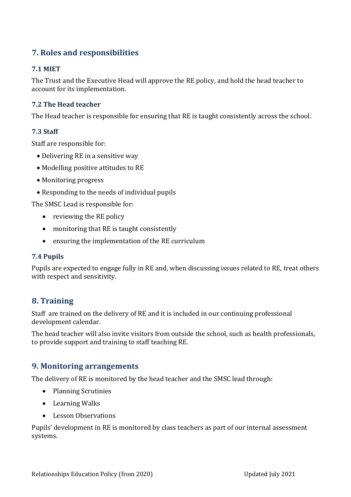# **7. Roles and responsibilities**

## **7.1 MIET**

The Trust and the Executive Head will approve the RE policy, and hold the head teacher to account for its implementation.

### **7.2 The Head teacher**

The Head teacher is responsible for ensuring that RE is taught consistently across the school.

#### **7.3 Staff**

Staff are responsible for:

- Delivering RE in a sensitive way
- Modelling positive attitudes to RE
- Monitoring progress
- Responding to the needs of individual pupils

The SMSC Lead is responsible for:

- reviewing the RE policy
- monitoring that RE is taught consistently
- ensuring the implementation of the RE curriculum

#### **7.4 Pupils**

Pupils are expected to engage fully in RE and, when discussing issues related to RE, treat others with respect and sensitivity.

## **8. Training**

Staff are trained on the delivery of RE and it is included in our continuing professional development calendar.

The head teacher will also invite visitors from outside the school, such as health professionals, to provide support and training to staff teaching RE.

## **9. Monitoring arrangements**

The delivery of RE is monitored by the head teacher and the SMSC lead through:

- Planning Scrutinies
- Learning Walks
- Lesson Observations

Pupils' development in RE is monitored by class teachers as part of our internal assessment systems.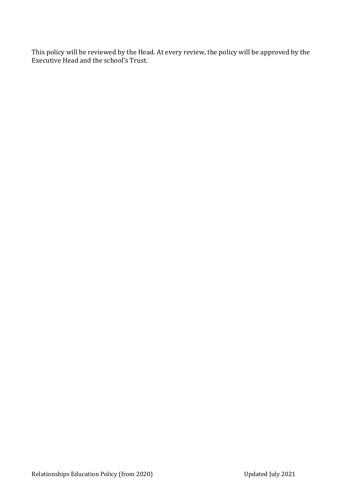This policy will be reviewed by the Head. At every review, the policy will be approved by the Executive Head and the school's Trust.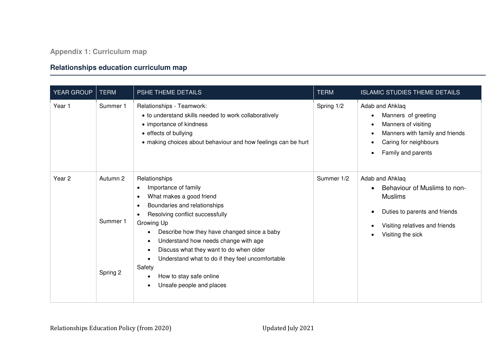# **Relationships education curriculum map**

| YEAR GROUP        | <b>TERM</b>                      | PSHE THEME DETAILS                                                                                                                                                                                                                                                                                                                                                                                                                                                                                                             | <b>TERM</b> | <b>ISLAMIC STUDIES THEME DETAILS</b>                                                                                                                      |
|-------------------|----------------------------------|--------------------------------------------------------------------------------------------------------------------------------------------------------------------------------------------------------------------------------------------------------------------------------------------------------------------------------------------------------------------------------------------------------------------------------------------------------------------------------------------------------------------------------|-------------|-----------------------------------------------------------------------------------------------------------------------------------------------------------|
| Year 1            | Summer 1                         | Relationships - Teamwork:<br>• to understand skills needed to work collaboratively<br>• importance of kindness<br>• effects of bullying<br>• making choices about behaviour and how feelings can be hurt                                                                                                                                                                                                                                                                                                                       | Spring 1/2  | Adab and Ahklaq<br>Manners of greeting<br>Manners of visiting<br>Manners with family and friends<br>Caring for neighbours<br>Family and parents           |
| Year <sub>2</sub> | Autumn 2<br>Summer 1<br>Spring 2 | Relationships<br>Importance of family<br>$\bullet$<br>What makes a good friend<br>$\bullet$<br>Boundaries and relationships<br>$\bullet$<br>Resolving conflict successfully<br>$\bullet$<br>Growing Up<br>Describe how they have changed since a baby<br>Understand how needs change with age<br>$\bullet$<br>Discuss what they want to do when older<br>$\bullet$<br>Understand what to do if they feel uncomfortable<br>$\bullet$<br>Safety<br>How to stay safe online<br>$\bullet$<br>Unsafe people and places<br>$\bullet$ | Summer 1/2  | Adab and Ahklaq<br>Behaviour of Muslims to non-<br><b>Muslims</b><br>Duties to parents and friends<br>Visiting relatives and friends<br>Visiting the sick |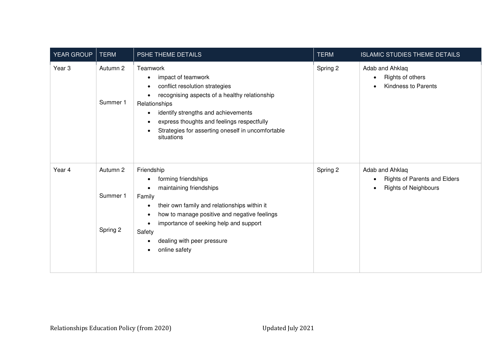| YEAR GROUP        | <b>TERM</b>                      | PSHE THEME DETAILS                                                                                                                                                                                                                                                                                                                                                       | <b>TERM</b> | <b>ISLAMIC STUDIES THEME DETAILS</b>                                                                            |
|-------------------|----------------------------------|--------------------------------------------------------------------------------------------------------------------------------------------------------------------------------------------------------------------------------------------------------------------------------------------------------------------------------------------------------------------------|-------------|-----------------------------------------------------------------------------------------------------------------|
| Year <sub>3</sub> | Autumn 2<br>Summer 1             | Teamwork<br>impact of teamwork<br>$\bullet$<br>conflict resolution strategies<br>$\bullet$<br>recognising aspects of a healthy relationship<br>$\bullet$<br>Relationships<br>identify strengths and achievements<br>$\bullet$<br>express thoughts and feelings respectfully<br>$\bullet$<br>Strategies for asserting oneself in uncomfortable<br>$\bullet$<br>situations | Spring 2    | Adab and Ahklaq<br>Rights of others<br>$\bullet$<br>Kindness to Parents<br>$\bullet$                            |
| Year 4            | Autumn 2<br>Summer 1<br>Spring 2 | Friendship<br>forming friendships<br>$\bullet$<br>maintaining friendships<br>$\bullet$<br>Family<br>their own family and relationships within it<br>$\bullet$<br>how to manage positive and negative feelings<br>$\bullet$<br>importance of seeking help and support<br>$\bullet$<br>Safety<br>dealing with peer pressure<br>٠<br>online safety<br>$\bullet$             | Spring 2    | Adab and Ahklaq<br><b>Rights of Parents and Elders</b><br>$\bullet$<br><b>Rights of Neighbours</b><br>$\bullet$ |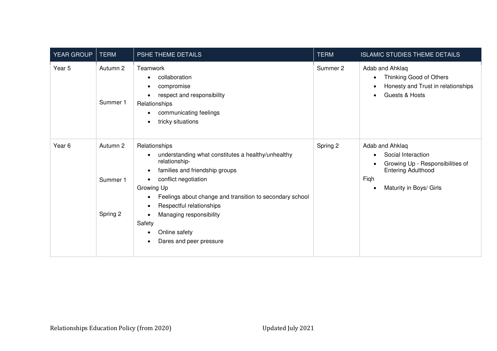| YEAR GROUP        | <b>TERM</b>          | PSHE THEME DETAILS                                                                                                                                              | <b>TERM</b> | <b>ISLAMIC STUDIES THEME DETAILS</b>                                                                                         |
|-------------------|----------------------|-----------------------------------------------------------------------------------------------------------------------------------------------------------------|-------------|------------------------------------------------------------------------------------------------------------------------------|
| Year 5            | Autumn 2<br>Summer 1 | Teamwork<br>collaboration<br>$\bullet$<br>compromise<br>respect and responsibility<br>Relationships<br>communicating feelings<br>tricky situations<br>$\bullet$ | Summer 2    | Adab and Ahklaq<br>Thinking Good of Others<br>$\bullet$<br>Honesty and Trust in relationships<br>Guests & Hosts<br>$\bullet$ |
| Year <sub>6</sub> | Autumn 2             | Relationships<br>understanding what constitutes a healthy/unhealthy<br>relationship-<br>families and friendship groups<br>٠                                     | Spring 2    | Adab and Ahklaq<br>Social Interaction<br>$\bullet$<br>Growing Up - Responsibilities of<br><b>Entering Adulthood</b>          |
|                   | Summer 1             | conflict negotiation<br>$\bullet$<br>Growing Up<br>Feelings about change and transition to secondary school<br>$\bullet$<br>Respectful relationships            |             | Fiqh<br>Maturity in Boys/ Girls<br>$\bullet$                                                                                 |
|                   | Spring 2             | Managing responsibility<br>Safety<br>Online safety<br>$\bullet$<br>Dares and peer pressure<br>$\bullet$                                                         |             |                                                                                                                              |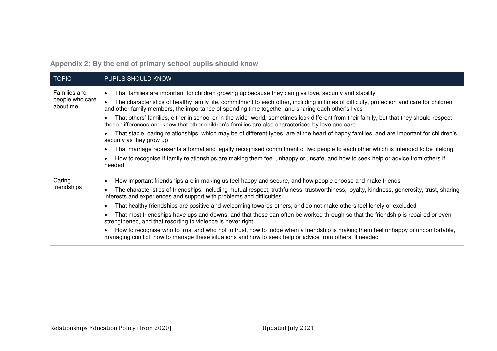**Appendix 2: By the end of primary school pupils should know** 

| <b>TOPIC</b>                                | <b>PUPILS SHOULD KNOW</b>                                                                                                                                                                                                                                                                                                                                                                                                                                                                                                                                                                                                                                                                                                                                                                                                                                                                                                                                                                                                                                       |
|---------------------------------------------|-----------------------------------------------------------------------------------------------------------------------------------------------------------------------------------------------------------------------------------------------------------------------------------------------------------------------------------------------------------------------------------------------------------------------------------------------------------------------------------------------------------------------------------------------------------------------------------------------------------------------------------------------------------------------------------------------------------------------------------------------------------------------------------------------------------------------------------------------------------------------------------------------------------------------------------------------------------------------------------------------------------------------------------------------------------------|
| Families and<br>people who care<br>about me | That families are important for children growing up because they can give love, security and stability<br>The characteristics of healthy family life, commitment to each other, including in times of difficulty, protection and care for children<br>and other family members, the importance of spending time together and sharing each other's lives<br>That others' families, either in school or in the wider world, sometimes look different from their family, but that they should respect<br>those differences and know that other children's families are also characterised by love and care<br>That stable, caring relationships, which may be of different types, are at the heart of happy families, and are important for children's<br>security as they grow up<br>That marriage represents a formal and legally recognised commitment of two people to each other which is intended to be lifelong<br>How to recognise if family relationships are making them feel unhappy or unsafe, and how to seek help or advice from others if<br>needed |
| Caring<br>friendships                       | How important friendships are in making us feel happy and secure, and how people choose and make friends<br>The characteristics of friendships, including mutual respect, truthfulness, trustworthiness, loyalty, kindness, generosity, trust, sharing<br>interests and experiences and support with problems and difficulties<br>That healthy friendships are positive and welcoming towards others, and do not make others feel lonely or excluded<br>That most friendships have ups and downs, and that these can often be worked through so that the friendship is repaired or even<br>strengthened, and that resorting to violence is never right<br>How to recognise who to trust and who not to trust, how to judge when a friendship is making them feel unhappy or uncomfortable,<br>managing conflict, how to manage these situations and how to seek help or advice from others, if needed                                                                                                                                                           |